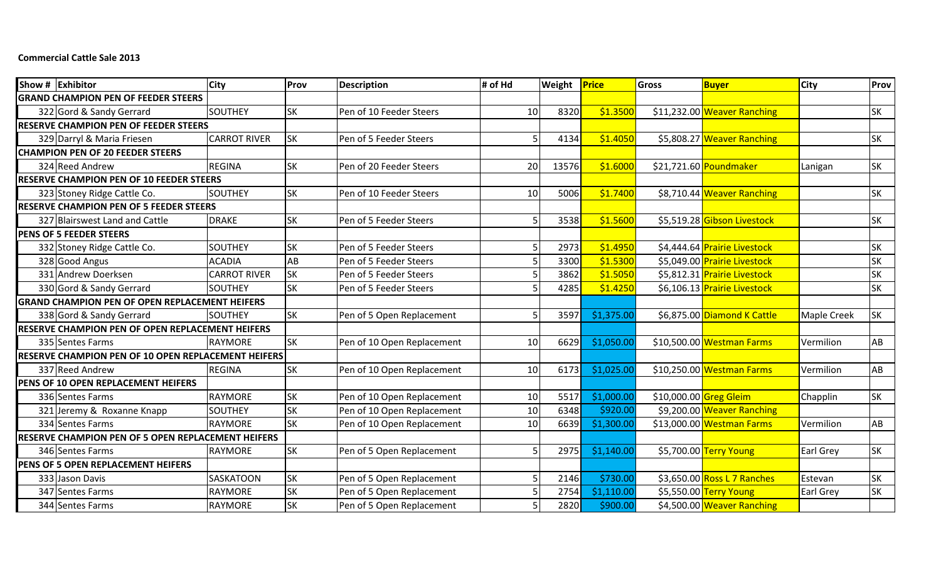## **Commercial Cattle Sale 2013**

| Show # Exhibitor                                      | <b>City</b>         | Prov      | <b>Description</b>         | # of Hd | Weight | Price      | <b>Gross</b>           | <b>Buyer</b>                 | <b>City</b> | Prov      |
|-------------------------------------------------------|---------------------|-----------|----------------------------|---------|--------|------------|------------------------|------------------------------|-------------|-----------|
| <b>GRAND CHAMPION PEN OF FEEDER STEERS</b>            |                     |           |                            |         |        |            |                        |                              |             |           |
| 322 Gord & Sandy Gerrard                              | <b>SOUTHEY</b>      | <b>SK</b> | Pen of 10 Feeder Steers    | 10      | 8320   | \$1.3500   |                        | \$11,232.00 Weaver Ranching  |             | <b>SK</b> |
| <b>RESERVE CHAMPION PEN OF FEEDER STEERS</b>          |                     |           |                            |         |        |            |                        |                              |             |           |
| 329 Darryl & Maria Friesen                            | <b>CARROT RIVER</b> | <b>SK</b> | Pen of 5 Feeder Steers     | 5.      | 4134   | \$1.4050   |                        | \$5,808.27 Weaver Ranching   |             | <b>SK</b> |
| <b>CHAMPION PEN OF 20 FEEDER STEERS</b>               |                     |           |                            |         |        |            |                        |                              |             |           |
| 324 Reed Andrew                                       | <b>REGINA</b>       | <b>SK</b> | Pen of 20 Feeder Steers    | 20      | 13576  | \$1.6000   |                        | \$21,721.60 Poundmaker       | Lanigan     | <b>SK</b> |
| <b>RESERVE CHAMPION PEN OF 10 FEEDER STEERS</b>       |                     |           |                            |         |        |            |                        |                              |             |           |
| 323 Stoney Ridge Cattle Co.                           | <b>SOUTHEY</b>      | <b>SK</b> | Pen of 10 Feeder Steers    | 10      | 5006   | \$1.7400   |                        | \$8,710.44 Weaver Ranching   |             | <b>SK</b> |
| <b>RESERVE CHAMPION PEN OF 5 FEEDER STEERS</b>        |                     |           |                            |         |        |            |                        |                              |             |           |
| 327 Blairswest Land and Cattle                        | <b>DRAKE</b>        | <b>SK</b> | Pen of 5 Feeder Steers     | 5       | 3538   | \$1.5600   |                        | \$5,519.28 Gibson Livestock  |             | <b>SK</b> |
| <b>PENS OF 5 FEEDER STEERS</b>                        |                     |           |                            |         |        |            |                        |                              |             |           |
| 332 Stoney Ridge Cattle Co.                           | <b>SOUTHEY</b>      | <b>SK</b> | Pen of 5 Feeder Steers     |         | 2973   | \$1.4950   |                        | \$4,444.64 Prairie Livestock |             | SK        |
| 328 Good Angus                                        | <b>ACADIA</b>       | <b>AB</b> | Pen of 5 Feeder Steers     |         | 3300   | \$1.5300   |                        | \$5,049.00 Prairie Livestock |             | <b>SK</b> |
| 331 Andrew Doerksen                                   | <b>CARROT RIVER</b> | <b>SK</b> | Pen of 5 Feeder Steers     |         | 3862   | \$1.5050   |                        | \$5,812.31 Prairie Livestock |             | <b>SK</b> |
| 330 Gord & Sandy Gerrard                              | SOUTHEY             | <b>SK</b> | Pen of 5 Feeder Steers     |         | 4285   | \$1.4250   |                        | \$6,106.13 Prairie Livestock |             | <b>SK</b> |
| <b>GRAND CHAMPION PEN OF OPEN REPLACEMENT HEIFERS</b> |                     |           |                            |         |        |            |                        |                              |             |           |
| 338 Gord & Sandy Gerrard                              | <b>SOUTHEY</b>      | <b>SK</b> | Pen of 5 Open Replacement  |         | 3597   | \$1,375.00 |                        | \$6,875.00 Diamond K Cattle  | Maple Creek | <b>SK</b> |
| RESERVE CHAMPION PEN OF OPEN REPLACEMENT HEIFERS      |                     |           |                            |         |        |            |                        |                              |             |           |
| 335 Sentes Farms                                      | RAYMORE             | <b>SK</b> | Pen of 10 Open Replacement | 10      | 6629   | \$1,050.00 |                        | \$10,500.00 Westman Farms    | Vermilion   | AB        |
| RESERVE CHAMPION PEN OF 10 OPEN REPLACEMENT HEIFERS   |                     |           |                            |         |        |            |                        |                              |             |           |
| 337 Reed Andrew                                       | <b>REGINA</b>       | <b>SK</b> | Pen of 10 Open Replacement | 10      | 6173   | \$1,025.00 |                        | \$10,250.00 Westman Farms    | Vermilion   | AB        |
| PENS OF 10 OPEN REPLACEMENT HEIFERS                   |                     |           |                            |         |        |            |                        |                              |             |           |
| 336 Sentes Farms                                      | <b>RAYMORE</b>      | <b>SK</b> | Pen of 10 Open Replacement | 10      | 5517   | \$1,000.00 | \$10,000.00 Greg Gleim |                              | Chapplin    | <b>SK</b> |
| 321 Jeremy & Roxanne Knapp                            | <b>SOUTHEY</b>      | <b>SK</b> | Pen of 10 Open Replacement | 10      | 6348   | \$920.00   |                        | \$9,200.00 Weaver Ranching   |             |           |
| 334 Sentes Farms                                      | RAYMORE             | <b>SK</b> | Pen of 10 Open Replacement | 10      | 6639   | \$1,300.00 |                        | \$13,000.00 Westman Farms    | Vermilion   | AB        |
| RESERVE CHAMPION PEN OF 5 OPEN REPLACEMENT HEIFERS    |                     |           |                            |         |        |            |                        |                              |             |           |
| 346 Sentes Farms                                      | RAYMORE             | <b>SK</b> | Pen of 5 Open Replacement  |         | 2975   | \$1,140.00 |                        | \$5,700.00 Terry Young       | Earl Grey   | <b>SK</b> |
| PENS OF 5 OPEN REPLACEMENT HEIFERS                    |                     |           |                            |         |        |            |                        |                              |             |           |
| 333 Jason Davis                                       | SASKATOON           | <b>SK</b> | Pen of 5 Open Replacement  |         | 2146   | \$730.00   |                        | \$3,650.00 Ross L 7 Ranches  | Estevan     | <b>SK</b> |
| 347 Sentes Farms                                      | RAYMORE             | <b>SK</b> | Pen of 5 Open Replacement  |         | 2754   | \$1,110.00 |                        | \$5,550.00 Terry Young       | Earl Grey   | <b>SK</b> |
| 344 Sentes Farms                                      | <b>RAYMORE</b>      | <b>SK</b> | Pen of 5 Open Replacement  |         | 2820   | \$900.00   |                        | \$4,500.00 Weaver Ranching   |             |           |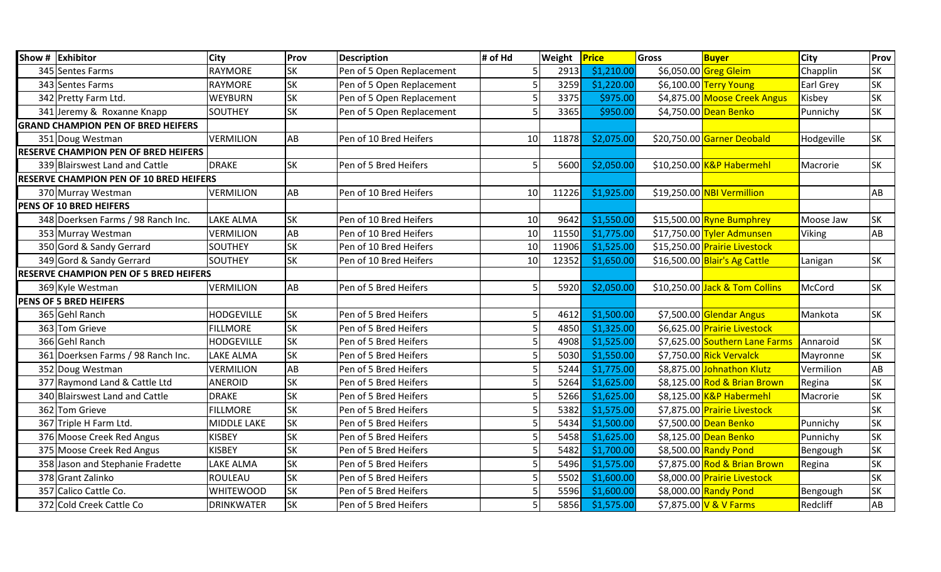|                                               | Show # Exhibitor                            | City               | Prov      | <b>Description</b>        | # of Hd        | Weight | Price      | Gross | <b>Buyer</b>                   | <b>City</b>   | Prov      |
|-----------------------------------------------|---------------------------------------------|--------------------|-----------|---------------------------|----------------|--------|------------|-------|--------------------------------|---------------|-----------|
|                                               | 345 Sentes Farms                            | <b>RAYMORE</b>     | <b>SK</b> | Pen of 5 Open Replacement |                | 2913   | \$1,210.00 |       | \$6,050.00 Greg Gleim          | Chapplin      | <b>SK</b> |
|                                               | 343 Sentes Farms                            | <b>RAYMORE</b>     | <b>SK</b> | Pen of 5 Open Replacement |                | 3259   | \$1,220.00 |       | \$6,100.00 Terry Young         | Earl Grey     | <b>SK</b> |
|                                               | 342 Pretty Farm Ltd.                        | <b>WEYBURN</b>     | <b>SK</b> | Pen of 5 Open Replacement |                | 3375   | \$975.00   |       | \$4,875.00 Moose Creek Angus   | Kisbey        | <b>SK</b> |
|                                               | 341 Jeremy & Roxanne Knapp                  | <b>SOUTHEY</b>     | lsк       | Pen of 5 Open Replacement |                | 3365   | \$950.00   |       | \$4,750.00 Dean Benko          | Punnichy      | <b>SK</b> |
|                                               | <b>GRAND CHAMPION PEN OF BRED HEIFERS</b>   |                    |           |                           |                |        |            |       |                                |               |           |
|                                               | 351 Doug Westman                            | VERMILION          | AB        | Pen of 10 Bred Heifers    | 10             | 11878  | \$2,075.00 |       | \$20,750.00 Garner Deobald     | Hodgeville    | <b>SK</b> |
|                                               | <b>RESERVE CHAMPION PEN OF BRED HEIFERS</b> |                    |           |                           |                |        |            |       |                                |               |           |
|                                               | 339 Blairswest Land and Cattle              | <b>DRAKE</b>       | <b>SK</b> | Pen of 5 Bred Heifers     | 5 <sup>1</sup> | 5600   | \$2,050.00 |       | \$10,250.00 K&P Habermehl      | Macrorie      | <b>SK</b> |
|                                               | RESERVE CHAMPION PEN OF 10 BRED HEIFERS     |                    |           |                           |                |        |            |       |                                |               |           |
|                                               | 370 Murray Westman                          | <b>VERMILION</b>   | AB        | Pen of 10 Bred Heifers    | 10             | 11226  | \$1,925.00 |       | \$19,250.00 NBI Vermillion     |               | AB        |
|                                               | PENS OF 10 BRED HEIFERS                     |                    |           |                           |                |        |            |       |                                |               |           |
|                                               | 348 Doerksen Farms / 98 Ranch Inc.          | LAKE ALMA          | <b>SK</b> | Pen of 10 Bred Heifers    | 10             | 9642   | \$1,550.00 |       | $$15,500.00$ Ryne Bumphrey     | Moose Jaw     | <b>SK</b> |
|                                               | 353 Murray Westman                          | <b>VERMILION</b>   | AB        | Pen of 10 Bred Heifers    | 10             | 11550  | \$1,775.00 |       | \$17,750.00 Tyler Admunsen     | <b>Viking</b> | AB        |
|                                               | 350 Gord & Sandy Gerrard                    | SOUTHEY            | <b>SK</b> | Pen of 10 Bred Heifers    | 10             | 11906  | \$1,525.00 |       | \$15,250.00 Prairie Livestock  |               |           |
|                                               | 349 Gord & Sandy Gerrard                    | <b>SOUTHEY</b>     | <b>SK</b> | Pen of 10 Bred Heifers    | 10             | 12352  | \$1,650.00 |       | \$16,500.00 Blair's Ag Cattle  | Lanigan       | <b>SK</b> |
| <b>RESERVE CHAMPION PEN OF 5 BRED HEIFERS</b> |                                             |                    |           |                           |                |        |            |       |                                |               |           |
|                                               | 369 Kyle Westman                            | VERMILION          | AB        | Pen of 5 Bred Heifers     | 5              | 5920   | \$2,050.00 |       | \$10,250.00 Jack & Tom Collins | McCord        | <b>SK</b> |
|                                               | <b>PENS OF 5 BRED HEIFERS</b>               |                    |           |                           |                |        |            |       |                                |               |           |
|                                               | 365 Gehl Ranch                              | <b>HODGEVILLE</b>  | <b>SK</b> | Pen of 5 Bred Heifers     | 5.             | 4612   | \$1,500.00 |       | \$7,500.00 Glendar Angus       | Mankota       | <b>SK</b> |
|                                               | 363 Tom Grieve                              | <b>FILLMORE</b>    | lsк       | Pen of 5 Bred Heifers     |                | 4850   | \$1,325.00 |       | \$6,625.00 Prairie Livestock   |               |           |
|                                               | 366 Gehl Ranch                              | <b>HODGEVILLE</b>  | <b>SK</b> | Pen of 5 Bred Heifers     |                | 4908   | \$1,525.00 |       | \$7,625.00 Southern Lane Farms | Annaroid      | <b>SK</b> |
|                                               | 361 Doerksen Farms / 98 Ranch Inc.          | LAKE ALMA          | <b>SK</b> | Pen of 5 Bred Heifers     |                | 5030   | \$1,550.00 |       | \$7,750.00 Rick Vervalck       | Mayronne      | <b>SK</b> |
|                                               | 352 Doug Westman                            | <b>VERMILION</b>   | AB        | Pen of 5 Bred Heifers     |                | 5244   | \$1,775.00 |       | \$8,875.00 Johnathon Klutz     | Vermilion     | AB        |
|                                               | 377 Raymond Land & Cattle Ltd               | <b>ANEROID</b>     | <b>SK</b> | Pen of 5 Bred Heifers     |                | 5264   | \$1,625.00 |       | \$8,125.00 Rod & Brian Brown   | Regina        | <b>SK</b> |
|                                               | 340 Blairswest Land and Cattle              | <b>DRAKE</b>       | <b>SK</b> | Pen of 5 Bred Heifers     |                | 5266   | \$1,625.00 |       | \$8,125.00 K&P Habermehl       | Macrorie      | <b>SK</b> |
|                                               | 362 Tom Grieve                              | <b>FILLMORE</b>    | <b>SK</b> | Pen of 5 Bred Heifers     |                | 5382   | \$1,575.00 |       | \$7,875.00 Prairie Livestock   |               | <b>SK</b> |
|                                               | 367 Triple H Farm Ltd.                      | <b>MIDDLE LAKE</b> | <b>SK</b> | Pen of 5 Bred Heifers     |                | 5434   | \$1,500.00 |       | \$7,500.00 Dean Benko          | Punnichy      | <b>SK</b> |
|                                               | 376 Moose Creek Red Angus                   | <b>KISBEY</b>      | <b>SK</b> | Pen of 5 Bred Heifers     |                | 5458   | \$1,625.00 |       | \$8,125.00 Dean Benko          | Punnichy      | <b>SK</b> |
|                                               | 375 Moose Creek Red Angus                   | <b>KISBEY</b>      | <b>SK</b> | Pen of 5 Bred Heifers     |                | 5482   | \$1,700.00 |       | \$8,500.00 Randy Pond          | Bengough      | <b>SK</b> |
|                                               | 358 Jason and Stephanie Fradette            | LAKE ALMA          | <b>SK</b> | Pen of 5 Bred Heifers     |                | 5496   | \$1,575.00 |       | \$7,875.00 Rod & Brian Brown   | Regina        | <b>SK</b> |
|                                               | 378 Grant Zalinko                           | <b>ROULEAU</b>     | <b>SK</b> | Pen of 5 Bred Heifers     |                | 5502   | \$1,600.00 |       | \$8,000.00 Prairie Livestock   |               | <b>SK</b> |
|                                               | 357 Calico Cattle Co.                       | <b>WHITEWOOD</b>   | <b>SK</b> | Pen of 5 Bred Heifers     |                | 5596   | \$1,600.00 |       | \$8,000.00 Randy Pond          | Bengough      | <b>SK</b> |
|                                               | 372 Cold Creek Cattle Co                    | <b>DRINKWATER</b>  | <b>SK</b> | Pen of 5 Bred Heifers     | 5 <sup>1</sup> | 5856   | \$1,575.00 |       | \$7,875.00 V & V Farms         | Redcliff      | AB        |